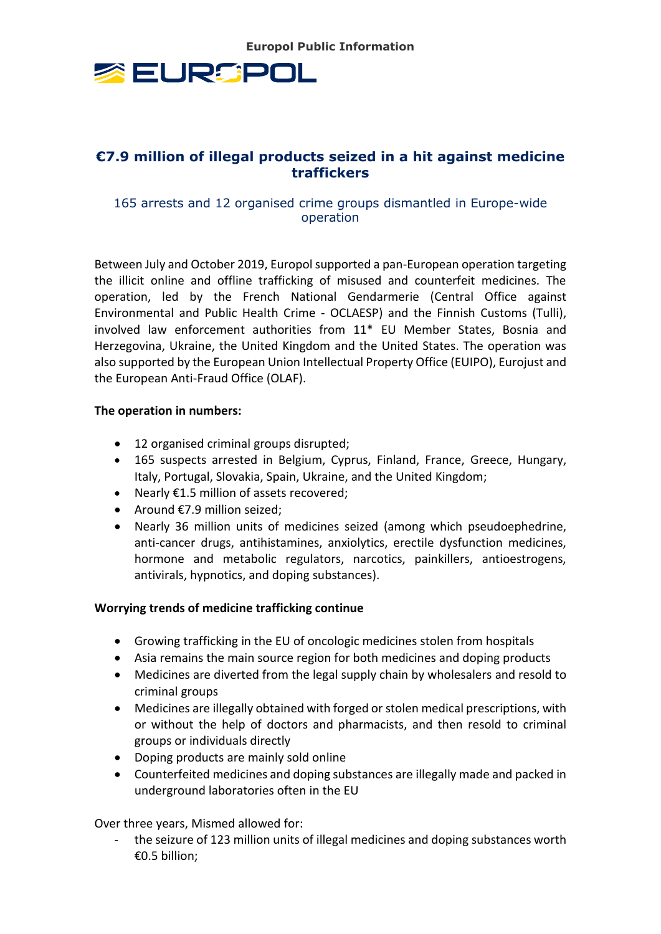

# **€7.9 million of illegal products seized in a hit against medicine traffickers**

## 165 arrests and 12 organised crime groups dismantled in Europe-wide operation

Between July and October 2019, Europol supported a pan-European operation targeting the illicit online and offline trafficking of misused and counterfeit medicines. The operation, led by the French National Gendarmerie (Central Office against Environmental and Public Health Crime - OCLAESP) and the Finnish Customs (Tulli), involved law enforcement authorities from 11\* EU Member States, Bosnia and Herzegovina, Ukraine, the United Kingdom and the United States. The operation was also supported by the European Union Intellectual Property Office (EUIPO), Eurojust and the European Anti-Fraud Office (OLAF).

### **The operation in numbers:**

- 12 organised criminal groups disrupted;
- 165 suspects arrested in Belgium, Cyprus, Finland, France, Greece, Hungary, Italy, Portugal, Slovakia, Spain, Ukraine, and the United Kingdom;
- Nearly €1.5 million of assets recovered;
- Around €7.9 million seized;
- Nearly 36 million units of medicines seized (among which pseudoephedrine, anti-cancer drugs, antihistamines, anxiolytics, erectile dysfunction medicines, hormone and metabolic regulators, narcotics, painkillers, antioestrogens, antivirals, hypnotics, and doping substances).

## **Worrying trends of medicine trafficking continue**

- Growing trafficking in the EU of oncologic medicines stolen from hospitals
- Asia remains the main source region for both medicines and doping products
- Medicines are diverted from the legal supply chain by wholesalers and resold to criminal groups
- Medicines are illegally obtained with forged or stolen medical prescriptions, with or without the help of doctors and pharmacists, and then resold to criminal groups or individuals directly
- Doping products are mainly sold online
- Counterfeited medicines and doping substances are illegally made and packed in underground laboratories often in the EU

Over three years, Mismed allowed for:

the seizure of 123 million units of illegal medicines and doping substances worth €0.5 billion;